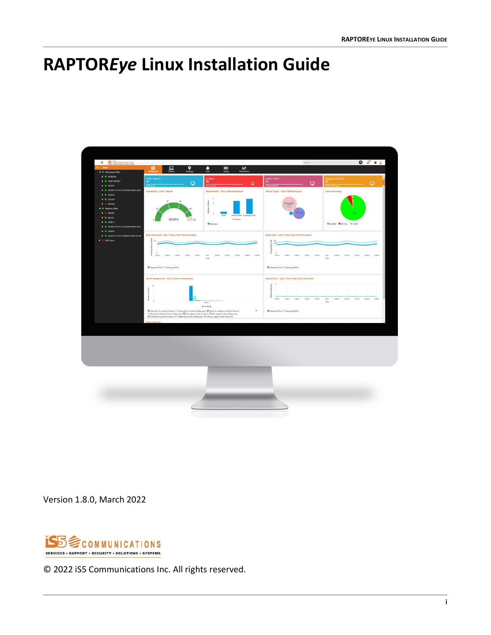## <span id="page-0-0"></span>**RAPTOR***Eye* **Linux Installation Guide**



Version 1.8.0, March 2022



© 2022 iS5 Communications Inc. All rights reserved.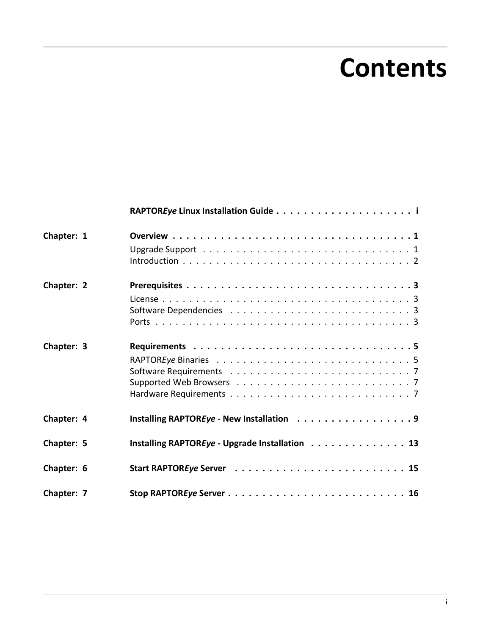# **Contents**

| Chapter: 1 |                                                |
|------------|------------------------------------------------|
|            |                                                |
| Chapter: 2 |                                                |
|            |                                                |
|            |                                                |
|            |                                                |
| Chapter: 3 |                                                |
|            |                                                |
|            |                                                |
|            |                                                |
|            |                                                |
| Chapter: 4 | Installing RAPTOREye - New Installation 9      |
| Chapter: 5 | Installing RAPTOREye - Upgrade Installation 13 |
| Chapter: 6 |                                                |
| Chapter: 7 |                                                |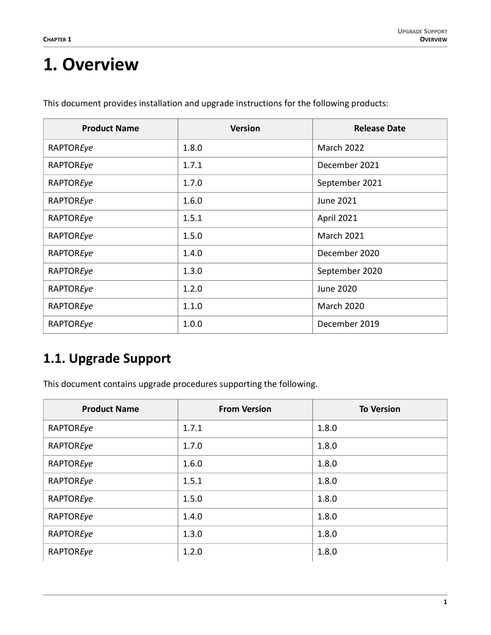### <span id="page-2-0"></span>**1. Overview**

| <b>Product Name</b> | <b>Version</b> | <b>Release Date</b> |
|---------------------|----------------|---------------------|
| RAPTOREye           | 1.8.0          | <b>March 2022</b>   |
| RAPTOREye           | 1.7.1          | December 2021       |
| RAPTOREye           | 1.7.0          | September 2021      |
| RAPTOREye           | 1.6.0          | June 2021           |
| RAPTOREye           | 1.5.1          | April 2021          |
| RAPTOREye           | 1.5.0          | <b>March 2021</b>   |
| RAPTOREye           | 1.4.0          | December 2020       |
| RAPTOREye           | 1.3.0          | September 2020      |
| RAPTOREye           | 1.2.0          | June 2020           |
| RAPTOREye           | 1.1.0          | <b>March 2020</b>   |
| RAPTOREye           | 1.0.0          | December 2019       |

This document provides installation and upgrade instructions for the following products:

### <span id="page-2-1"></span>**1.1. Upgrade Support**

This document contains upgrade procedures supporting the following.

| <b>Product Name</b> | <b>From Version</b> | <b>To Version</b> |
|---------------------|---------------------|-------------------|
| RAPTOREye           | 1.7.1               | 1.8.0             |
| RAPTOREye           | 1.7.0               | 1.8.0             |
| RAPTOREye           | 1.6.0               | 1.8.0             |
| RAPTOREye           | 1.5.1               | 1.8.0             |
| RAPTOREye           | 1.5.0               | 1.8.0             |
| RAPTOREye           | 1.4.0               | 1.8.0             |
| RAPTOREye           | 1.3.0               | 1.8.0             |
| RAPTOREye           | 1.2.0               | 1.8.0             |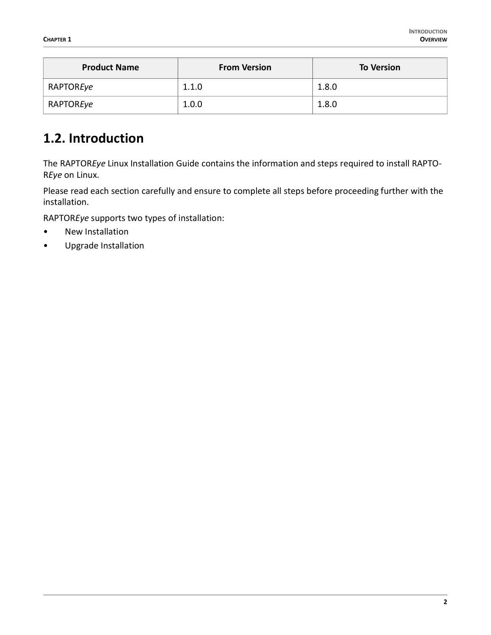| <b>Product Name</b> | <b>From Version</b> | <b>To Version</b> |
|---------------------|---------------------|-------------------|
| RAPTOREye           | 1.1.0               | 1.8.0             |
| RAPTOREye           | 1.0.0               | 1.8.0             |

#### <span id="page-3-0"></span>**1.2. Introduction**

The RAPTOR*Eye* Linux Installation Guide contains the information and steps required to install RAPTO-R*Eye* on Linux.

Please read each section carefully and ensure to complete all steps before proceeding further with the installation.

RAPTOR*Eye* supports two types of installation:

- New Installation
- Upgrade Installation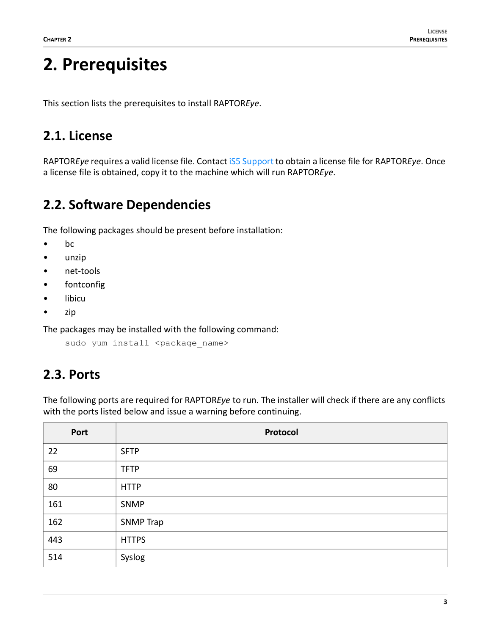### <span id="page-4-0"></span>**2. Prerequisites**

This section lists the prerequisites to install RAPTOR*Eye*.

#### <span id="page-4-1"></span>**2.1. License**

RAPTOR*Eye* requires a valid license file. Contact [iS5 Support](mailto:support@iS5Com.com) to obtain a license file for RAPTOR*Eye*. Once a license file is obtained, copy it to the machine which will run RAPTOR*Eye*.

### <span id="page-4-2"></span>**2.2. Software Dependencies**

The following packages should be present before installation:

- bc
- unzip
- net-tools
- fontconfig
- libicu
- zip

The packages may be installed with the following command:

```
sudo yum install <package name>
```
### <span id="page-4-3"></span>**2.3. Ports**

The following ports are required for RAPTOR*Eye* to run. The installer will check if there are any conflicts with the ports listed below and issue a warning before continuing.

| Port | Protocol         |
|------|------------------|
| 22   | <b>SFTP</b>      |
| 69   | <b>TFTP</b>      |
| 80   | <b>HTTP</b>      |
| 161  | SNMP             |
| 162  | <b>SNMP Trap</b> |
| 443  | <b>HTTPS</b>     |
| 514  | Syslog           |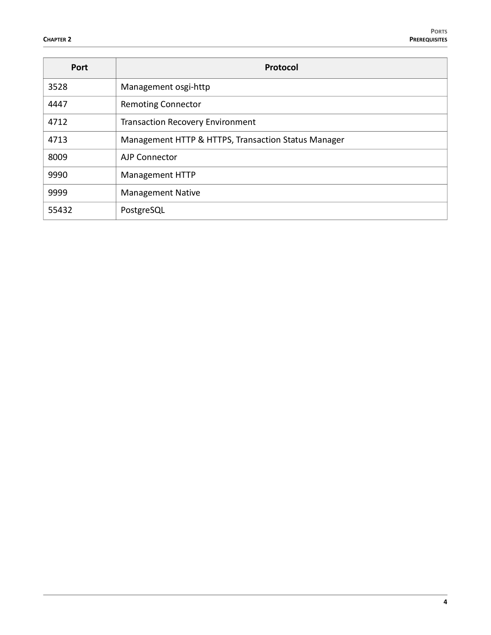| Port  | Protocol                                            |
|-------|-----------------------------------------------------|
| 3528  | Management osgi-http                                |
| 4447  | <b>Remoting Connector</b>                           |
| 4712  | <b>Transaction Recovery Environment</b>             |
| 4713  | Management HTTP & HTTPS, Transaction Status Manager |
| 8009  | AJP Connector                                       |
| 9990  | <b>Management HTTP</b>                              |
| 9999  | <b>Management Native</b>                            |
| 55432 | PostgreSQL                                          |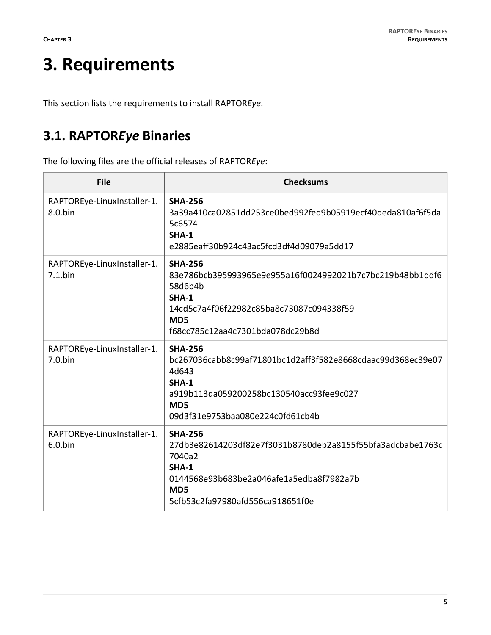## <span id="page-6-0"></span>**3. Requirements**

This section lists the requirements to install RAPTOR*Eye*.

### <span id="page-6-1"></span>**3.1. RAPTOR***Eye* **Binaries**

The following files are the official releases of RAPTOR*Eye*:

| <b>File</b>                               | <b>Checksums</b>                                                                                                                                                                                          |
|-------------------------------------------|-----------------------------------------------------------------------------------------------------------------------------------------------------------------------------------------------------------|
| RAPTOREye-LinuxInstaller-1.<br>8.0.bin    | <b>SHA-256</b><br>3a39a410ca02851dd253ce0bed992fed9b05919ecf40deda810af6f5da<br>5c6574<br>SHA-1<br>e2885eaff30b924c43ac5fcd3df4d09079a5dd17                                                               |
| RAPTOREye-LinuxInstaller-1.<br>$7.1$ .bin | <b>SHA-256</b><br>83e786bcb395993965e9e955a16f0024992021b7c7bc219b48bb1ddf6<br>58d6b4b<br><b>SHA-1</b><br>14cd5c7a4f06f22982c85ba8c73087c094338f59<br>MD <sub>5</sub><br>f68cc785c12aa4c7301bda078dc29b8d |
| RAPTOREye-LinuxInstaller-1.<br>$7.0$ .bin | <b>SHA-256</b><br>bc267036cabb8c99af71801bc1d2aff3f582e8668cdaac99d368ec39e07<br>4d643<br>$SHA-1$<br>a919b113da059200258bc130540acc93fee9c027<br>MD <sub>5</sub><br>09d3f31e9753baa080e224c0fd61cb4b      |
| RAPTOREye-LinuxInstaller-1.<br>$6.0$ .bin | <b>SHA-256</b><br>27db3e82614203df82e7f3031b8780deb2a8155f55bfa3adcbabe1763c<br>7040a2<br>SHA-1<br>0144568e93b683be2a046afe1a5edba8f7982a7b<br>MD <sub>5</sub><br>5cfb53c2fa97980afd556ca918651f0e        |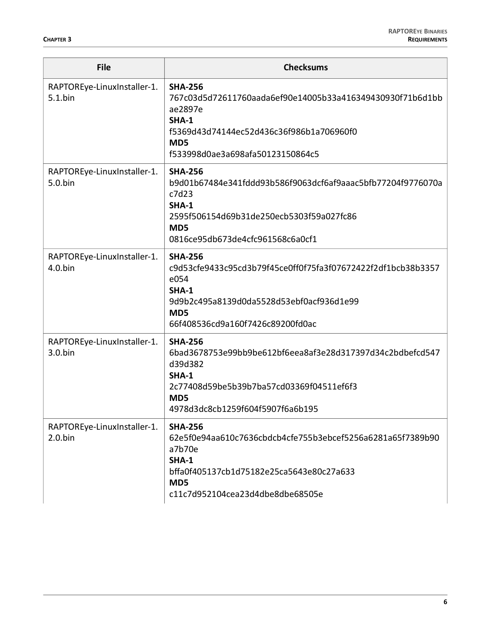| <b>File</b>                               | <b>Checksums</b>                                                                                                                                                                                          |
|-------------------------------------------|-----------------------------------------------------------------------------------------------------------------------------------------------------------------------------------------------------------|
| RAPTOREye-LinuxInstaller-1.<br>$5.1$ .bin | <b>SHA-256</b><br>767c03d5d72611760aada6ef90e14005b33a416349430930f71b6d1bb<br>ae2897e<br>SHA-1<br>f5369d43d74144ec52d436c36f986b1a706960f0<br>MD5<br>f533998d0ae3a698afa50123150864c5                    |
| RAPTOREye-LinuxInstaller-1.<br>5.0.bin    | <b>SHA-256</b><br>b9d01b67484e341fddd93b586f9063dcf6af9aaac5bfb77204f9776070a<br>c7d23<br><b>SHA-1</b><br>2595f506154d69b31de250ecb5303f59a027fc86<br>MD <sub>5</sub><br>0816ce95db673de4cfc961568c6a0cf1 |
| RAPTOREye-LinuxInstaller-1.<br>$4.0$ .bin | <b>SHA-256</b><br>c9d53cfe9433c95cd3b79f45ce0ff0f75fa3f07672422f2df1bcb38b3357<br>e054<br>$SHA-1$<br>9d9b2c495a8139d0da5528d53ebf0acf936d1e99<br>MD <sub>5</sub><br>66f408536cd9a160f7426c89200fd0ac      |
| RAPTOREye-LinuxInstaller-1.<br>$3.0.$ bin | <b>SHA-256</b><br>6bad3678753e99bb9be612bf6eea8af3e28d317397d34c2bdbefcd547<br>d39d382<br>SHA-1<br>2c77408d59be5b39b7ba57cd03369f04511ef6f3<br>MD <sub>5</sub><br>4978d3dc8cb1259f604f5907f6a6b195        |
| RAPTOREye-LinuxInstaller-1.<br>$2.0.$ bin | <b>SHA-256</b><br>62e5f0e94aa610c7636cbdcb4cfe755b3ebcef5256a6281a65f7389b90<br>a7b70e<br><b>SHA-1</b><br>bffa0f405137cb1d75182e25ca5643e80c27a633<br>MD5<br>c11c7d952104cea23d4dbe8dbe68505e             |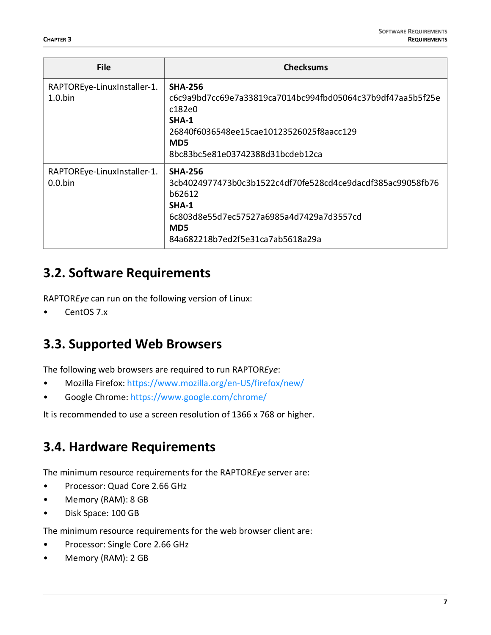| <b>File</b>                               | <b>Checksums</b>                                                                                                                                                                                     |
|-------------------------------------------|------------------------------------------------------------------------------------------------------------------------------------------------------------------------------------------------------|
| RAPTOREye-LinuxInstaller-1.<br>$1.0$ .bin | <b>SHA-256</b><br>c6c9a9bd7cc69e7a33819ca7014bc994fbd05064c37b9df47aa5b5f25e<br>c182e0<br>SHA-1<br>26840f6036548ee15cae10123526025f8aacc129<br>MD <sub>5</sub><br>8bc83bc5e81e03742388d31bcdeb12ca   |
| RAPTOREye-LinuxInstaller-1.<br>$0.0$ .bin | <b>SHA-256</b><br>3cb4024977473b0c3b1522c4df70fe528cd4ce9dacdf385ac99058fb76<br>b62612<br>$SHA-1$<br>6c803d8e55d7ec57527a6985a4d7429a7d3557cd<br>MD <sub>5</sub><br>84a682218b7ed2f5e31ca7ab5618a29a |

#### <span id="page-8-0"></span>**3.2. Software Requirements**

RAPTOR*Eye* can run on the following version of Linux:

• CentOS 7.x

#### <span id="page-8-1"></span>**3.3. Supported Web Browsers**

The following web browsers are required to run RAPTOR*Eye*:

- Mozilla Firefox: <https://www.mozilla.org/en-US/firefox/new/>
- Google Chrome:<https://www.google.com/chrome/>

It is recommended to use a screen resolution of 1366 x 768 or higher.

#### <span id="page-8-2"></span>**3.4. Hardware Requirements**

The minimum resource requirements for the RAPTOR*Eye* server are:

- Processor: Quad Core 2.66 GHz
- Memory (RAM): 8 GB
- Disk Space: 100 GB

The minimum resource requirements for the web browser client are:

- Processor: Single Core 2.66 GHz
- Memory (RAM): 2 GB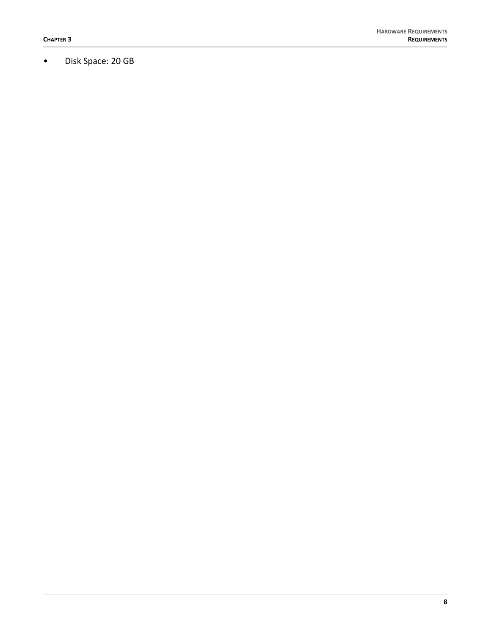• Disk Space: 20 GB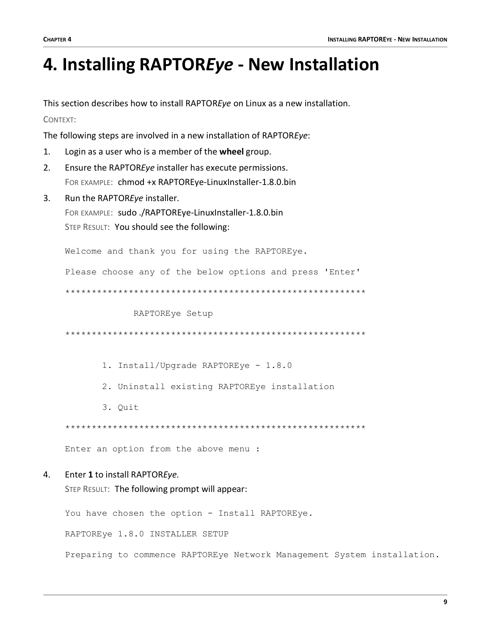### <span id="page-10-0"></span>**4. Installing RAPTOR***Eye* **- New Installation**

This section describes how to install RAPTOR*Eye* on Linux as a new installation.

CONTEXT:

The following steps are involved in a new installation of RAPTOR*Eye*:

- 1. Login as a user who is a member of the **wheel** group.
- 2. Ensure the RAPTOR*Eye* installer has execute permissions. FOR EXAMPLE: chmod +x RAPTOREye-LinuxInstaller-1.8.0.bin
- 3. Run the RAPTOR*Eye* installer. FOR EXAMPLE: sudo ./RAPTOREye-LinuxInstaller-1.8.0.bin STEP RESULT: You should see the following:

Welcome and thank you for using the RAPTOREye.

Please choose any of the below options and press 'Enter'

\*\*\*\*\*\*\*\*\*\*\*\*\*\*\*\*\*\*\*\*\*\*\*\*\*\*\*\*\*\*\*\*\*\*\*\*\*\*\*\*\*\*\*\*\*\*\*\*\*\*\*\*\*\*\*\*\*

RAPTOREye Setup

\*\*\*\*\*\*\*\*\*\*\*\*\*\*\*\*\*\*\*\*\*\*\*\*\*\*\*\*\*\*\*\*\*\*\*\*\*\*\*\*\*\*\*\*\*\*\*\*\*\*\*\*\*\*\*\*\*

- 1. Install/Upgrade RAPTOREye 1.8.0
- 2. Uninstall existing RAPTOREye installation
- 3. Quit

\*\*\*\*\*\*\*\*\*\*\*\*\*\*\*\*\*\*\*\*\*\*\*\*\*\*\*\*\*\*\*\*\*\*\*\*\*\*\*\*\*\*\*\*\*\*\*\*\*\*\*\*\*\*\*\*\*

Enter an option from the above menu :

#### 4. Enter **1** to install RAPTOR*Eye.*

STEP RESULT: The following prompt will appear:

You have chosen the option - Install RAPTOREye.

RAPTOREye 1.8.0 INSTALLER SETUP

Preparing to commence RAPTOREye Network Management System installation.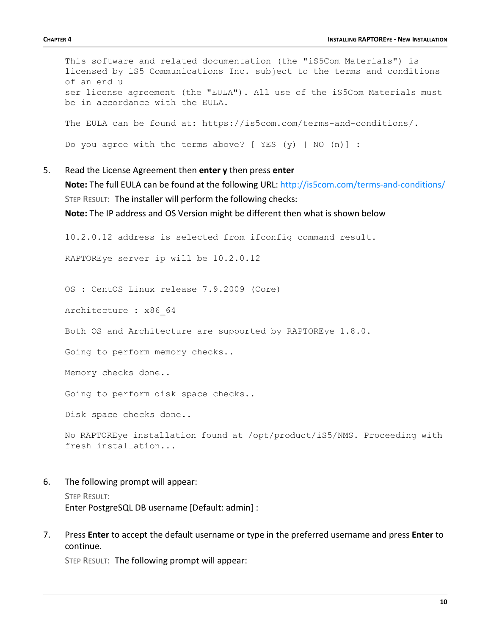This software and related documentation (the "iS5Com Materials") is licensed by iS5 Communications Inc. subject to the terms and conditions of an end u ser license agreement (the "EULA"). All use of the iS5Com Materials must be in accordance with the EULA. The EULA can be found at: https://is5com.com/terms-and-conditions/. Do you agree with the terms above? [ YES (y) | NO (n)] :

- 
- 5. Read the License Agreement then **enter y** then press **enter Note:** The full EULA can be found at the following URL: <http://is5com.com/terms-and-conditions/> STEP RESULT: The installer will perform the following checks:

**Note:** The IP address and OS Version might be different then what is shown below

10.2.0.12 address is selected from ifconfig command result.

RAPTOREye server ip will be 10.2.0.12

OS : CentOS Linux release 7.9.2009 (Core)

Architecture : x86\_64

Both OS and Architecture are supported by RAPTOREye 1.8.0.

Going to perform memory checks..

Memory checks done..

Going to perform disk space checks..

Disk space checks done..

No RAPTOREye installation found at /opt/product/iS5/NMS. Proceeding with fresh installation...

6. The following prompt will appear:

STEP RESULT: Enter PostgreSQL DB username [Default: admin] :

7. Press **Enter** to accept the default username or type in the preferred username and press **Enter** to continue.

STEP RESULT: The following prompt will appear: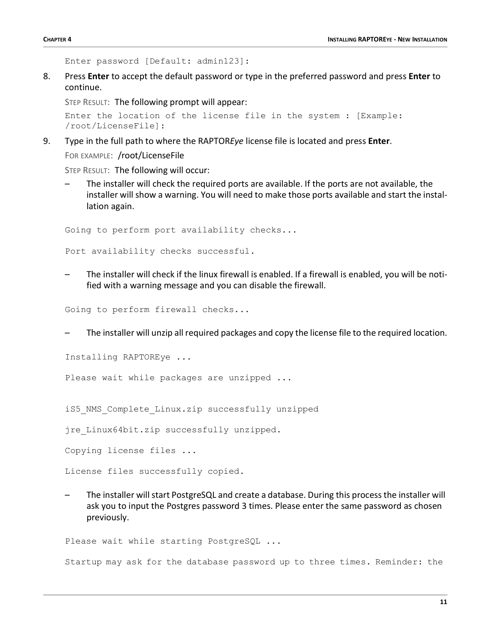```
Enter password [Default: admin123]:
```
8. Press **Enter** to accept the default password or type in the preferred password and press **Enter** to continue.

STEP RESULT: The following prompt will appear:

```
Enter the location of the license file in the system : [Example: 
/root/LicenseFile]:
```
9. Type in the full path to where the RAPTOR*Eye* license file is located and press **Enter**.

FOR EXAMPLE: /root/LicenseFile

STEP RESULT: The following will occur:

– The installer will check the required ports are available. If the ports are not available, the installer will show a warning. You will need to make those ports available and start the installation again.

Going to perform port availability checks...

Port availability checks successful.

– The installer will check if the linux firewall is enabled. If a firewall is enabled, you will be notified with a warning message and you can disable the firewall.

Going to perform firewall checks...

– The installer will unzip all required packages and copy the license file to the required location.

Installing RAPTOREye ...

Please wait while packages are unzipped ...

iS5 NMS Complete Linux.zip successfully unzipped

jre\_Linux64bit.zip successfully unzipped.

Copying license files ...

License files successfully copied.

– The installer will start PostgreSQL and create a database. During this process the installer will ask you to input the Postgres password 3 times. Please enter the same password as chosen previously.

Please wait while starting PostgreSQL ...

Startup may ask for the database password up to three times. Reminder: the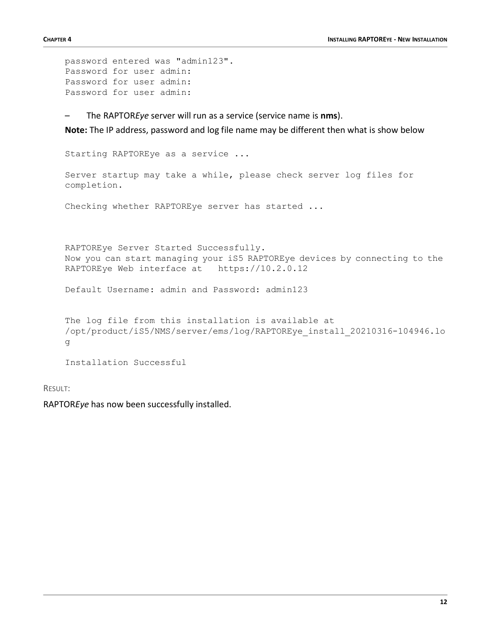```
password entered was "admin123".
Password for user admin:
Password for user admin:
Password for user admin:
```
– The RAPTOR*Eye* server will run as a service (service name is **nms**).

**Note:** The IP address, password and log file name may be different then what is show below

Starting RAPTOREye as a service ...

Server startup may take a while, please check server log files for completion.

Checking whether RAPTOREye server has started ...

RAPTOREye Server Started Successfully. Now you can start managing your iS5 RAPTOREye devices by connecting to the RAPTOREye Web interface at https://10.2.0.12

Default Username: admin and Password: admin123

```
The log file from this installation is available at
/opt/product/iS5/NMS/server/ems/log/RAPTOREye_install_20210316-104946.lo
g
```
Installation Successful

RESULT:

RAPTOR*Eye* has now been successfully installed.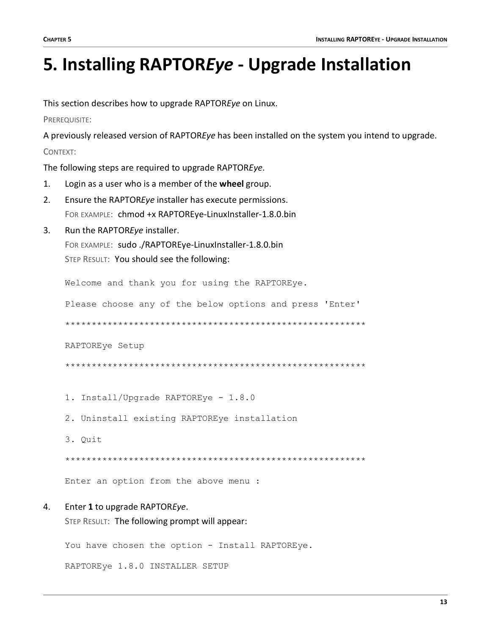## <span id="page-14-0"></span>**5. Installing RAPTOR***Eye* **- Upgrade Installation**

This section describes how to upgrade RAPTOR*Eye* on Linux.

PREREQUISITE:

A previously released version of RAPTOR*Eye* has been installed on the system you intend to upgrade. CONTEXT:

The following steps are required to upgrade RAPTOR*Eye*.

- 1. Login as a user who is a member of the **wheel** group.
- 2. Ensure the RAPTOR*Eye* installer has execute permissions. FOR EXAMPLE: chmod +x RAPTOREye-LinuxInstaller-1.8.0.bin
- 3. Run the RAPTOR*Eye* installer.

FOR EXAMPLE: sudo ./RAPTOREye-LinuxInstaller-1.8.0.bin STEP RESULT: You should see the following:

Welcome and thank you for using the RAPTOREye.

Please choose any of the below options and press 'Enter'

\*\*\*\*\*\*\*\*\*\*\*\*\*\*\*\*\*\*\*\*\*\*\*\*\*\*\*\*\*\*\*\*\*\*\*\*\*\*\*\*\*\*\*\*\*\*\*\*\*\*\*\*\*\*\*\*\*

RAPTOREye Setup

\*\*\*\*\*\*\*\*\*\*\*\*\*\*\*\*\*\*\*\*\*\*\*\*\*\*\*\*\*\*\*\*\*\*\*\*\*\*\*\*\*\*\*\*\*\*\*\*\*\*\*\*\*\*\*\*\*

- 1. Install/Upgrade RAPTOREye 1.8.0
- 2. Uninstall existing RAPTOREye installation
- 3. Quit

\*\*\*\*\*\*\*\*\*\*\*\*\*\*\*\*\*\*\*\*\*\*\*\*\*\*\*\*\*\*\*\*\*\*\*\*\*\*\*\*\*\*\*\*\*\*\*\*\*\*\*\*\*\*\*\*\*

Enter an option from the above menu :

#### 4. Enter **1** to upgrade RAPTOR*Eye*.

STEP RESULT: The following prompt will appear:

You have chosen the option - Install RAPTOREye.

RAPTOREye 1.8.0 INSTALLER SETUP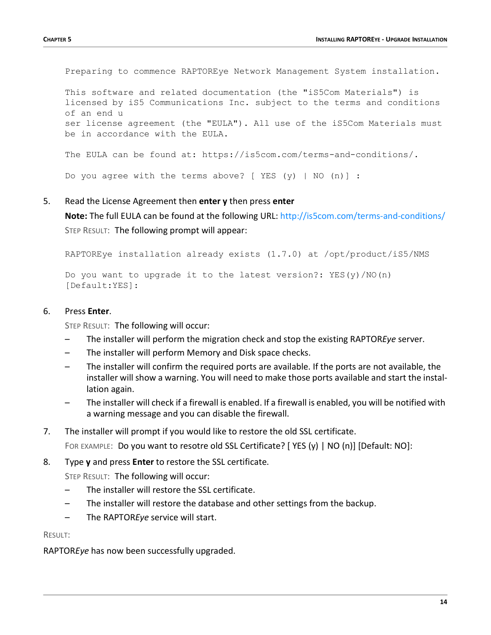Preparing to commence RAPTOREye Network Management System installation.

This software and related documentation (the "iS5Com Materials") is licensed by iS5 Communications Inc. subject to the terms and conditions of an end u ser license agreement (the "EULA"). All use of the iS5Com Materials must be in accordance with the EULA.

The EULA can be found at: https://is5com.com/terms-and-conditions/.

Do you agree with the terms above? [ YES  $(y)$  | NO  $(n)$ ] :

#### 5. Read the License Agreement then **enter y** then press **enter**

**Note:** The full EULA can be found at the following URL: <http://is5com.com/terms-and-conditions/> STEP RESULT: The following prompt will appear:

RAPTOREye installation already exists (1.7.0) at /opt/product/iS5/NMS

Do you want to upgrade it to the latest version?:  $YES(y)/NO(n)$ [Default:YES]:

#### 6. Press **Enter**.

STEP RESULT: The following will occur:

- The installer will perform the migration check and stop the existing RAPTOR*Eye* server.
- The installer will perform Memory and Disk space checks.
- The installer will confirm the required ports are available. If the ports are not available, the installer will show a warning. You will need to make those ports available and start the installation again.
- The installer will check if a firewall is enabled. If a firewall is enabled, you will be notified with a warning message and you can disable the firewall.
- 7. The installer will prompt if you would like to restore the old SSL certificate.

FOR EXAMPLE: Do you want to resotre old SSL Certificate? [YES (y) | NO (n)] [Default: NO]:

8. Type **y** and press **Enter** to restore the SSL certificate.

STEP RESULT: The following will occur:

- The installer will restore the SSL certificate.
- The installer will restore the database and other settings from the backup.
- The RAPTOR*Eye* service will start.

RESULT:

RAPTOR*Eye* has now been successfully upgraded.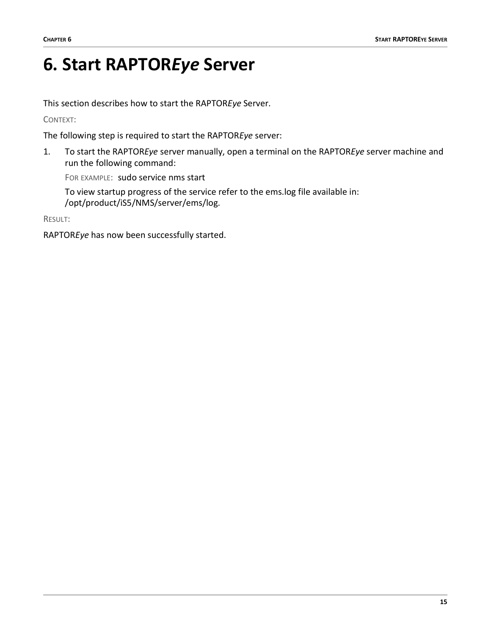### <span id="page-16-0"></span>**6. Start RAPTOR***Eye* **Server**

This section describes how to start the RAPTOR*Eye* Server.

CONTEXT:

The following step is required to start the RAPTOR*Eye* server:

1. To start the RAPTOR*Eye* server manually, open a terminal on the RAPTOR*Eye* server machine and run the following command:

FOR EXAMPLE: sudo service nms start

To view startup progress of the service refer to the ems.log file available in: /opt/product/iS5/NMS/server/ems/log.

RESULT:

RAPTOR*Eye* has now been successfully started.